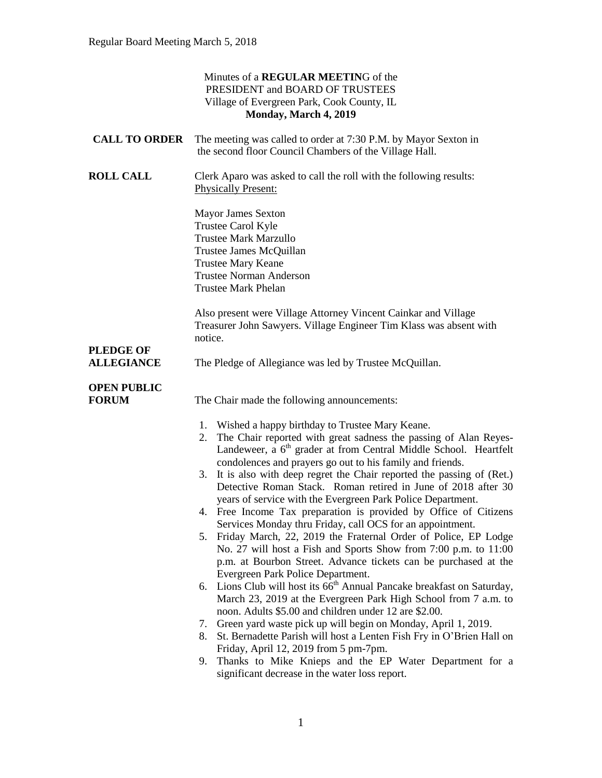|                                    | Minutes of a REGULAR MEETING of the<br>PRESIDENT and BOARD OF TRUSTEES<br>Village of Evergreen Park, Cook County, IL<br>Monday, March 4, 2019                                                                                                                                                                                                                                                                                                                                                                                                                                                                                                                                                                                                                                                                                                                                                                                                                                                                                                                                                                                                                                                                                                                                                                                                                                                           |
|------------------------------------|---------------------------------------------------------------------------------------------------------------------------------------------------------------------------------------------------------------------------------------------------------------------------------------------------------------------------------------------------------------------------------------------------------------------------------------------------------------------------------------------------------------------------------------------------------------------------------------------------------------------------------------------------------------------------------------------------------------------------------------------------------------------------------------------------------------------------------------------------------------------------------------------------------------------------------------------------------------------------------------------------------------------------------------------------------------------------------------------------------------------------------------------------------------------------------------------------------------------------------------------------------------------------------------------------------------------------------------------------------------------------------------------------------|
| <b>CALL TO ORDER</b>               | The meeting was called to order at 7:30 P.M. by Mayor Sexton in<br>the second floor Council Chambers of the Village Hall.                                                                                                                                                                                                                                                                                                                                                                                                                                                                                                                                                                                                                                                                                                                                                                                                                                                                                                                                                                                                                                                                                                                                                                                                                                                                               |
| <b>ROLL CALL</b>                   | Clerk Aparo was asked to call the roll with the following results:<br><b>Physically Present:</b>                                                                                                                                                                                                                                                                                                                                                                                                                                                                                                                                                                                                                                                                                                                                                                                                                                                                                                                                                                                                                                                                                                                                                                                                                                                                                                        |
|                                    | <b>Mayor James Sexton</b><br>Trustee Carol Kyle<br><b>Trustee Mark Marzullo</b><br>Trustee James McQuillan<br><b>Trustee Mary Keane</b><br><b>Trustee Norman Anderson</b><br><b>Trustee Mark Phelan</b>                                                                                                                                                                                                                                                                                                                                                                                                                                                                                                                                                                                                                                                                                                                                                                                                                                                                                                                                                                                                                                                                                                                                                                                                 |
| <b>PLEDGE OF</b>                   | Also present were Village Attorney Vincent Cainkar and Village<br>Treasurer John Sawyers. Village Engineer Tim Klass was absent with<br>notice.                                                                                                                                                                                                                                                                                                                                                                                                                                                                                                                                                                                                                                                                                                                                                                                                                                                                                                                                                                                                                                                                                                                                                                                                                                                         |
| <b>ALLEGIANCE</b>                  | The Pledge of Allegiance was led by Trustee McQuillan.                                                                                                                                                                                                                                                                                                                                                                                                                                                                                                                                                                                                                                                                                                                                                                                                                                                                                                                                                                                                                                                                                                                                                                                                                                                                                                                                                  |
| <b>OPEN PUBLIC</b><br><b>FORUM</b> | The Chair made the following announcements:                                                                                                                                                                                                                                                                                                                                                                                                                                                                                                                                                                                                                                                                                                                                                                                                                                                                                                                                                                                                                                                                                                                                                                                                                                                                                                                                                             |
|                                    | 1. Wished a happy birthday to Trustee Mary Keane.<br>The Chair reported with great sadness the passing of Alan Reyes-<br>2.<br>Landeweer, a 6 <sup>th</sup> grader at from Central Middle School. Heartfelt<br>condolences and prayers go out to his family and friends.<br>3. It is also with deep regret the Chair reported the passing of (Ret.)<br>Detective Roman Stack. Roman retired in June of 2018 after 30<br>years of service with the Evergreen Park Police Department.<br>4. Free Income Tax preparation is provided by Office of Citizens<br>Services Monday thru Friday, call OCS for an appointment.<br>5. Friday March, 22, 2019 the Fraternal Order of Police, EP Lodge<br>No. 27 will host a Fish and Sports Show from 7:00 p.m. to 11:00<br>p.m. at Bourbon Street. Advance tickets can be purchased at the<br>Evergreen Park Police Department.<br>6. Lions Club will host its 66 <sup>th</sup> Annual Pancake breakfast on Saturday,<br>March 23, 2019 at the Evergreen Park High School from 7 a.m. to<br>noon. Adults \$5.00 and children under 12 are \$2.00.<br>Green yard waste pick up will begin on Monday, April 1, 2019.<br>7.<br>St. Bernadette Parish will host a Lenten Fish Fry in O'Brien Hall on<br>8.<br>Friday, April 12, 2019 from 5 pm-7pm.<br>Thanks to Mike Knieps and the EP Water Department for a<br>9.<br>significant decrease in the water loss report. |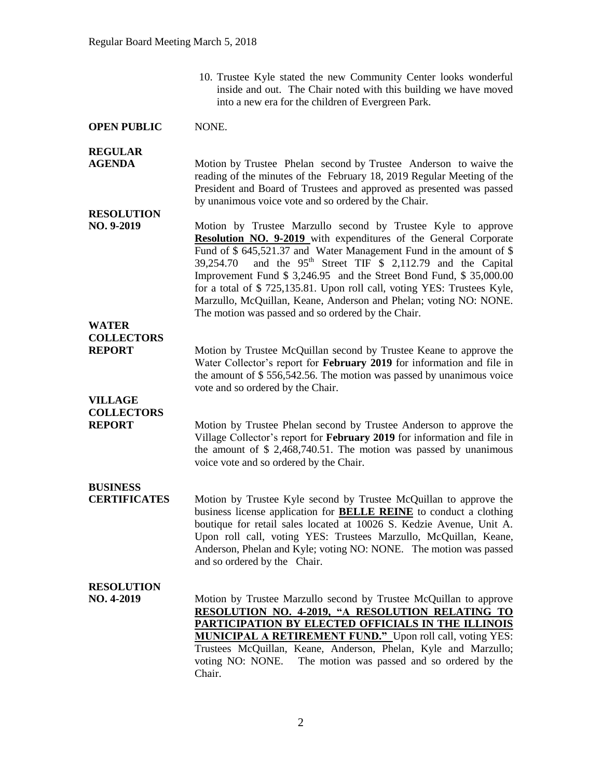10. Trustee Kyle stated the new Community Center looks wonderful inside and out. The Chair noted with this building we have moved into a new era for the children of Evergreen Park.

#### **OPEN PUBLIC** NONE.

#### **REGULAR**

**AGENDA** Motion by Trustee Phelan second by Trustee Anderson to waive the reading of the minutes of the February 18, 2019 Regular Meeting of the President and Board of Trustees and approved as presented was passed by unanimous voice vote and so ordered by the Chair.

# **RESOLUTION**

**NO. 9-2019** Motion by Trustee Marzullo second by Trustee Kyle to approve **Resolution NO. 9-2019** with expenditures of the General Corporate Fund of \$ 645,521.37 and Water Management Fund in the amount of \$ 39,254.70 and the  $95<sup>th</sup>$  Street TIF \$ 2,112.79 and the Capital Improvement Fund \$ 3,246.95 and the Street Bond Fund, \$ 35,000.00 for a total of \$ 725,135.81. Upon roll call, voting YES: Trustees Kyle, Marzullo, McQuillan, Keane, Anderson and Phelan; voting NO: NONE. The motion was passed and so ordered by the Chair.

### **WATER COLLECTORS**

**REPORT** Motion by Trustee McQuillan second by Trustee Keane to approve the Water Collector's report for **February 2019** for information and file in the amount of \$ 556,542.56. The motion was passed by unanimous voice vote and so ordered by the Chair.

# **VILLAGE COLLECTORS**

**REPORT** Motion by Trustee Phelan second by Trustee Anderson to approve the Village Collector's report for **February 2019** for information and file in the amount of \$ 2,468,740.51. The motion was passed by unanimous voice vote and so ordered by the Chair.

# **BUSINESS**

**CERTIFICATES** Motion by Trustee Kyle second by Trustee McQuillan to approve the business license application for **BELLE REINE** to conduct a clothing boutique for retail sales located at 10026 S. Kedzie Avenue, Unit A. Upon roll call, voting YES: Trustees Marzullo, McQuillan, Keane, Anderson, Phelan and Kyle; voting NO: NONE. The motion was passed and so ordered by the Chair.

#### **RESOLUTION**

**NO. 4-2019** Motion by Trustee Marzullo second by Trustee McQuillan to approve **RESOLUTION NO. 4-2019, "A RESOLUTION RELATING TO PARTICIPATION BY ELECTED OFFICIALS IN THE ILLINOIS MUNICIPAL A RETIREMENT FUND."** Upon roll call, voting YES: Trustees McQuillan, Keane, Anderson, Phelan, Kyle and Marzullo; voting NO: NONE. The motion was passed and so ordered by the Chair.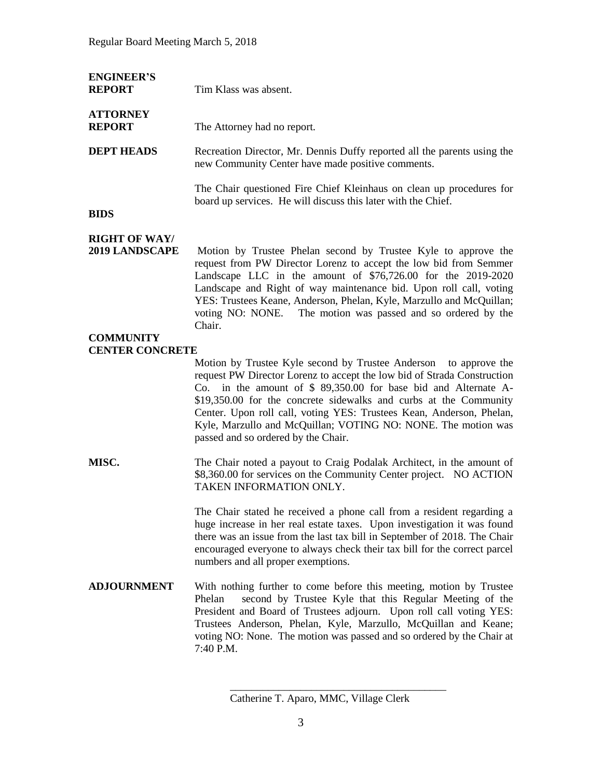| <b>ENGINEER'S</b><br><b>REPORT</b>            | Tim Klass was absent.                                                                                                                                                                                                                                                                                                                                                                                                       |
|-----------------------------------------------|-----------------------------------------------------------------------------------------------------------------------------------------------------------------------------------------------------------------------------------------------------------------------------------------------------------------------------------------------------------------------------------------------------------------------------|
| <b>ATTORNEY</b><br><b>REPORT</b>              | The Attorney had no report.                                                                                                                                                                                                                                                                                                                                                                                                 |
| <b>DEPT HEADS</b>                             | Recreation Director, Mr. Dennis Duffy reported all the parents using the<br>new Community Center have made positive comments.                                                                                                                                                                                                                                                                                               |
| <b>BIDS</b>                                   | The Chair questioned Fire Chief Kleinhaus on clean up procedures for<br>board up services. He will discuss this later with the Chief.                                                                                                                                                                                                                                                                                       |
| <b>RIGHT OF WAY/</b><br><b>2019 LANDSCAPE</b> | Motion by Trustee Phelan second by Trustee Kyle to approve the<br>request from PW Director Lorenz to accept the low bid from Semmer<br>Landscape LLC in the amount of \$76,726.00 for the 2019-2020<br>Landscape and Right of way maintenance bid. Upon roll call, voting<br>YES: Trustees Keane, Anderson, Phelan, Kyle, Marzullo and McQuillan;<br>voting NO: NONE. The motion was passed and so ordered by the<br>Chair. |
| <b>COMMUNITY</b><br><b>CENTER CONCRETE</b>    | Motion by Trustee Kyle second by Trustee Anderson to approve the<br>request PW Director Lorenz to accept the low bid of Strada Construction<br>Co. in the amount of $$89,350.00$ for base bid and Alternate A-<br>\$19,350.00 for the concrete sidewalks and curbs at the Community<br>Center. Upon roll call, voting YES: Trustees Kean, Anderson, Phelan,                                                                 |

**MISC.** The Chair noted a payout to Craig Podalak Architect, in the amount of \$8,360.00 for services on the Community Center project. NO ACTION TAKEN INFORMATION ONLY.

passed and so ordered by the Chair.

The Chair stated he received a phone call from a resident regarding a huge increase in her real estate taxes. Upon investigation it was found there was an issue from the last tax bill in September of 2018. The Chair encouraged everyone to always check their tax bill for the correct parcel numbers and all proper exemptions.

Kyle, Marzullo and McQuillan; VOTING NO: NONE. The motion was

**ADJOURNMENT** With nothing further to come before this meeting, motion by Trustee Phelan second by Trustee Kyle that this Regular Meeting of the President and Board of Trustees adjourn. Upon roll call voting YES: Trustees Anderson, Phelan, Kyle, Marzullo, McQuillan and Keane; voting NO: None. The motion was passed and so ordered by the Chair at 7:40 P.M.

\_\_\_\_\_\_\_\_\_\_\_\_\_\_\_\_\_\_\_\_\_\_\_\_\_\_\_\_\_\_\_\_\_\_\_\_\_\_\_\_

Catherine T. Aparo, MMC, Village Clerk